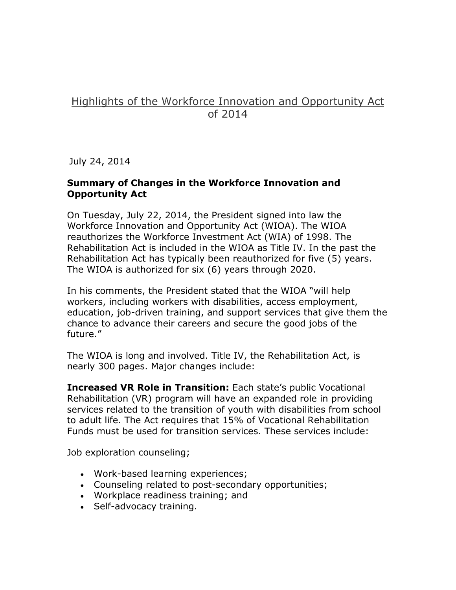## Highlights of the Workforce Innovation and Opportunity Act of 2014

July 24, 2014

## **Summary of Changes in the Workforce Innovation and Opportunity Act**

On Tuesday, July 22, 2014, the President signed into law the Workforce Innovation and Opportunity Act (WIOA). The WIOA reauthorizes the Workforce Investment Act (WIA) of 1998. The Rehabilitation Act is included in the WIOA as Title IV. In the past the Rehabilitation Act has typically been reauthorized for five (5) years. The WIOA is authorized for six (6) years through 2020.

In his comments, the President stated that the WIOA "will help workers, including workers with disabilities, access employment, education, job-driven training, and support services that give them the chance to advance their careers and secure the good jobs of the future."

The WIOA is long and involved. Title IV, the Rehabilitation Act, is nearly 300 pages. Major changes include:

**Increased VR Role in Transition:** Each state's public Vocational Rehabilitation (VR) program will have an expanded role in providing services related to the transition of youth with disabilities from school to adult life. The Act requires that 15% of Vocational Rehabilitation Funds must be used for transition services. These services include:

Job exploration counseling;

- Work-based learning experiences;
- Counseling related to post-secondary opportunities;
- Workplace readiness training; and
- Self-advocacy training.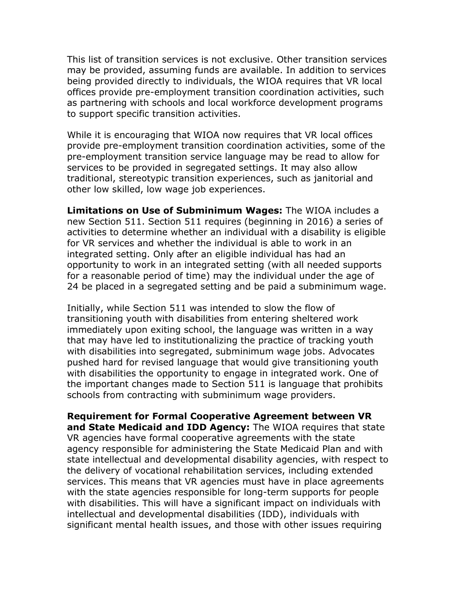This list of transition services is not exclusive. Other transition services may be provided, assuming funds are available. In addition to services being provided directly to individuals, the WIOA requires that VR local offices provide pre-employment transition coordination activities, such as partnering with schools and local workforce development programs to support specific transition activities.

While it is encouraging that WIOA now requires that VR local offices provide pre-employment transition coordination activities, some of the pre-employment transition service language may be read to allow for services to be provided in segregated settings. It may also allow traditional, stereotypic transition experiences, such as janitorial and other low skilled, low wage job experiences.

**Limitations on Use of Subminimum Wages:** The WIOA includes a new Section 511. Section 511 requires (beginning in 2016) a series of activities to determine whether an individual with a disability is eligible for VR services and whether the individual is able to work in an integrated setting. Only after an eligible individual has had an opportunity to work in an integrated setting (with all needed supports for a reasonable period of time) may the individual under the age of 24 be placed in a segregated setting and be paid a subminimum wage.

Initially, while Section 511 was intended to slow the flow of transitioning youth with disabilities from entering sheltered work immediately upon exiting school, the language was written in a way that may have led to institutionalizing the practice of tracking youth with disabilities into segregated, subminimum wage jobs. Advocates pushed hard for revised language that would give transitioning youth with disabilities the opportunity to engage in integrated work. One of the important changes made to Section 511 is language that prohibits schools from contracting with subminimum wage providers.

**Requirement for Formal Cooperative Agreement between VR and State Medicaid and IDD Agency:** The WIOA requires that state VR agencies have formal cooperative agreements with the state agency responsible for administering the State Medicaid Plan and with state intellectual and developmental disability agencies, with respect to the delivery of vocational rehabilitation services, including extended services. This means that VR agencies must have in place agreements with the state agencies responsible for long-term supports for people with disabilities. This will have a significant impact on individuals with intellectual and developmental disabilities (IDD), individuals with significant mental health issues, and those with other issues requiring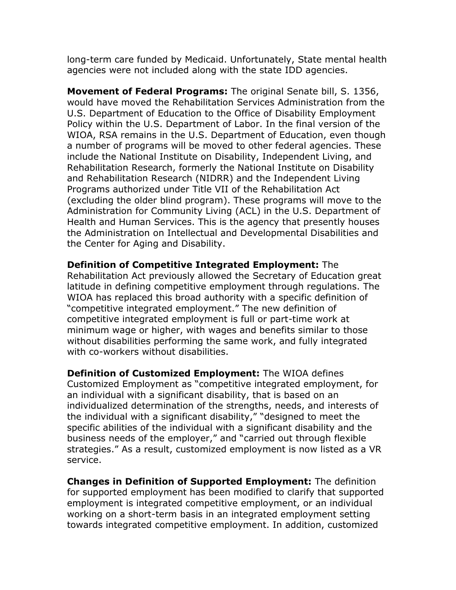long-term care funded by Medicaid. Unfortunately, State mental health agencies were not included along with the state IDD agencies.

**Movement of Federal Programs:** The original Senate bill, S. 1356, would have moved the Rehabilitation Services Administration from the U.S. Department of Education to the Office of Disability Employment Policy within the U.S. Department of Labor. In the final version of the WIOA, RSA remains in the U.S. Department of Education, even though a number of programs will be moved to other federal agencies. These include the National Institute on Disability, Independent Living, and Rehabilitation Research, formerly the National Institute on Disability and Rehabilitation Research (NIDRR) and the Independent Living Programs authorized under Title VII of the Rehabilitation Act (excluding the older blind program). These programs will move to the Administration for Community Living (ACL) in the U.S. Department of Health and Human Services. This is the agency that presently houses the Administration on Intellectual and Developmental Disabilities and the Center for Aging and Disability.

**Definition of Competitive Integrated Employment:** The Rehabilitation Act previously allowed the Secretary of Education great latitude in defining competitive employment through regulations. The WIOA has replaced this broad authority with a specific definition of "competitive integrated employment." The new definition of competitive integrated employment is full or part-time work at minimum wage or higher, with wages and benefits similar to those without disabilities performing the same work, and fully integrated with co-workers without disabilities.

**Definition of Customized Employment:** The WIOA defines Customized Employment as "competitive integrated employment, for an individual with a significant disability, that is based on an individualized determination of the strengths, needs, and interests of the individual with a significant disability," "designed to meet the specific abilities of the individual with a significant disability and the business needs of the employer," and "carried out through flexible strategies." As a result, customized employment is now listed as a VR service.

**Changes in Definition of Supported Employment:** The definition for supported employment has been modified to clarify that supported employment is integrated competitive employment, or an individual working on a short-term basis in an integrated employment setting towards integrated competitive employment. In addition, customized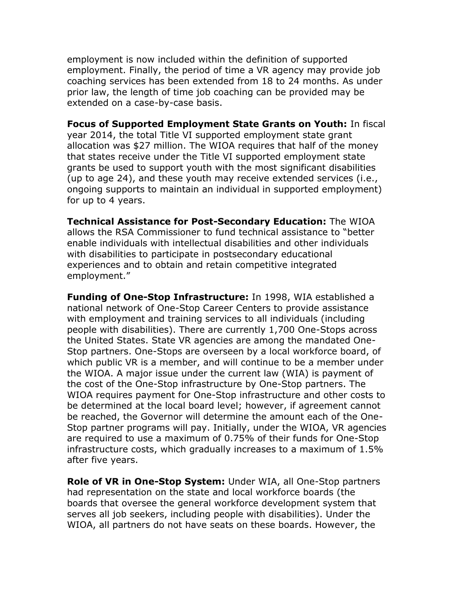employment is now included within the definition of supported employment. Finally, the period of time a VR agency may provide job coaching services has been extended from 18 to 24 months. As under prior law, the length of time job coaching can be provided may be extended on a case-by-case basis.

**Focus of Supported Employment State Grants on Youth:** In fiscal year 2014, the total Title VI supported employment state grant allocation was \$27 million. The WIOA requires that half of the money that states receive under the Title VI supported employment state grants be used to support youth with the most significant disabilities (up to age 24), and these youth may receive extended services (i.e., ongoing supports to maintain an individual in supported employment) for up to 4 years.

**Technical Assistance for Post-Secondary Education:** The WIOA allows the RSA Commissioner to fund technical assistance to "better enable individuals with intellectual disabilities and other individuals with disabilities to participate in postsecondary educational experiences and to obtain and retain competitive integrated employment."

**Funding of One-Stop Infrastructure:** In 1998, WIA established a national network of One-Stop Career Centers to provide assistance with employment and training services to all individuals (including people with disabilities). There are currently 1,700 One-Stops across the United States. State VR agencies are among the mandated One-Stop partners. One-Stops are overseen by a local workforce board, of which public VR is a member, and will continue to be a member under the WIOA. A major issue under the current law (WIA) is payment of the cost of the One-Stop infrastructure by One-Stop partners. The WIOA requires payment for One-Stop infrastructure and other costs to be determined at the local board level; however, if agreement cannot be reached, the Governor will determine the amount each of the One-Stop partner programs will pay. Initially, under the WIOA, VR agencies are required to use a maximum of 0.75% of their funds for One-Stop infrastructure costs, which gradually increases to a maximum of 1.5% after five years.

**Role of VR in One-Stop System:** Under WIA, all One-Stop partners had representation on the state and local workforce boards (the boards that oversee the general workforce development system that serves all job seekers, including people with disabilities). Under the WIOA, all partners do not have seats on these boards. However, the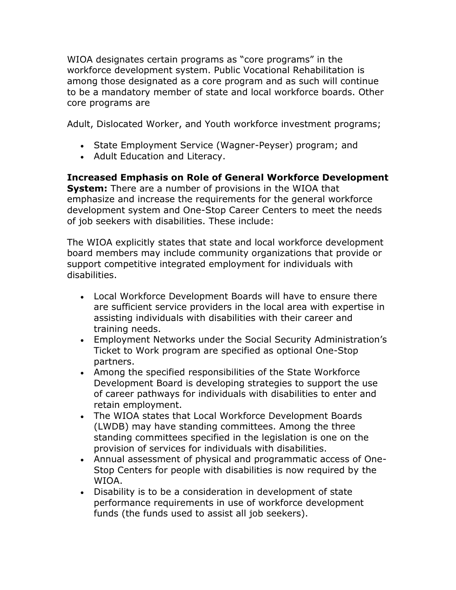WIOA designates certain programs as "core programs" in the workforce development system. Public Vocational Rehabilitation is among those designated as a core program and as such will continue to be a mandatory member of state and local workforce boards. Other core programs are

Adult, Dislocated Worker, and Youth workforce investment programs;

- State Employment Service (Wagner-Peyser) program; and
- Adult Education and Literacy.

**Increased Emphasis on Role of General Workforce Development System:** There are a number of provisions in the WIOA that emphasize and increase the requirements for the general workforce development system and One-Stop Career Centers to meet the needs of job seekers with disabilities. These include:

The WIOA explicitly states that state and local workforce development board members may include community organizations that provide or support competitive integrated employment for individuals with disabilities.

- Local Workforce Development Boards will have to ensure there are sufficient service providers in the local area with expertise in assisting individuals with disabilities with their career and training needs.
- Employment Networks under the Social Security Administration's Ticket to Work program are specified as optional One-Stop partners.
- Among the specified responsibilities of the State Workforce Development Board is developing strategies to support the use of career pathways for individuals with disabilities to enter and retain employment.
- The WIOA states that Local Workforce Development Boards (LWDB) may have standing committees. Among the three standing committees specified in the legislation is one on the provision of services for individuals with disabilities.
- Annual assessment of physical and programmatic access of One-Stop Centers for people with disabilities is now required by the WIOA.
- Disability is to be a consideration in development of state performance requirements in use of workforce development funds (the funds used to assist all job seekers).